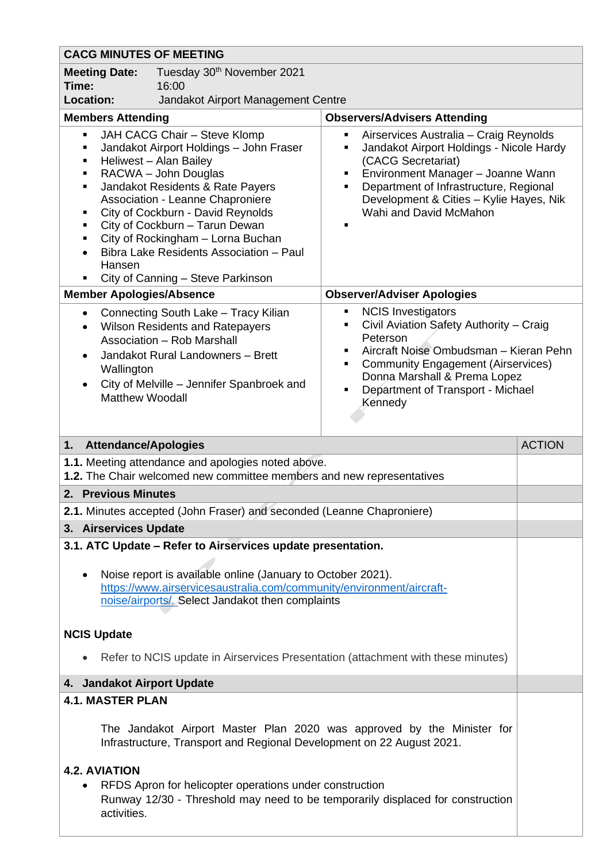| <b>CACG MINUTES OF MEETING</b>                                                                                                                                                                                                                                                                                                                                                                                                                                            |                                                                                                                                  |                                                                                                                                                                                                                                                                             |               |
|---------------------------------------------------------------------------------------------------------------------------------------------------------------------------------------------------------------------------------------------------------------------------------------------------------------------------------------------------------------------------------------------------------------------------------------------------------------------------|----------------------------------------------------------------------------------------------------------------------------------|-----------------------------------------------------------------------------------------------------------------------------------------------------------------------------------------------------------------------------------------------------------------------------|---------------|
| <b>Meeting Date:</b><br>Tuesday 30th November 2021<br>16:00<br>Time:                                                                                                                                                                                                                                                                                                                                                                                                      |                                                                                                                                  |                                                                                                                                                                                                                                                                             |               |
| <b>Location:</b><br>Jandakot Airport Management Centre<br><b>Members Attending</b><br><b>Observers/Advisers Attending</b>                                                                                                                                                                                                                                                                                                                                                 |                                                                                                                                  |                                                                                                                                                                                                                                                                             |               |
| JAH CACG Chair - Steve Klomp<br>$\blacksquare$<br>Jandakot Airport Holdings - John Fraser<br>Ξ<br>Heliwest - Alan Bailey<br>٠<br>RACWA - John Douglas<br>٠<br>Jandakot Residents & Rate Payers<br>٠<br>Association - Leanne Chaproniere<br>City of Cockburn - David Reynolds<br>٠<br>City of Cockburn - Tarun Dewan<br>٠<br>City of Rockingham - Lorna Buchan<br>$\blacksquare$<br>Bibra Lake Residents Association - Paul<br>Hansen<br>City of Canning - Steve Parkinson |                                                                                                                                  | Airservices Australia - Craig Reynolds<br>٠<br>Jandakot Airport Holdings - Nicole Hardy<br>(CACG Secretariat)<br>Environment Manager - Joanne Wann<br>٠<br>Department of Infrastructure, Regional<br>٠<br>Development & Cities - Kylie Hayes, Nik<br>Wahi and David McMahon |               |
| <b>Member Apologies/Absence</b>                                                                                                                                                                                                                                                                                                                                                                                                                                           |                                                                                                                                  | <b>Observer/Adviser Apologies</b>                                                                                                                                                                                                                                           |               |
| Connecting South Lake - Tracy Kilian<br>$\bullet$<br><b>Wilson Residents and Ratepayers</b><br>$\bullet$<br>Association - Rob Marshall<br>Jandakot Rural Landowners - Brett<br>$\bullet$<br>Wallington<br>City of Melville - Jennifer Spanbroek and<br><b>Matthew Woodall</b>                                                                                                                                                                                             |                                                                                                                                  | <b>NCIS Investigators</b><br>٠<br>Civil Aviation Safety Authority - Craig<br>٠<br>Peterson<br>Aircraft Noise Ombudsman - Kieran Pehn<br>٠<br><b>Community Engagement (Airservices)</b><br>٠<br>Donna Marshall & Prema Lopez<br>Department of Transport - Michael<br>Kennedy |               |
| <b>Attendance/Apologies</b><br>1.                                                                                                                                                                                                                                                                                                                                                                                                                                         |                                                                                                                                  |                                                                                                                                                                                                                                                                             | <b>ACTION</b> |
| 1.1. Meeting attendance and apologies noted above.<br>1.2. The Chair welcomed new committee members and new representatives                                                                                                                                                                                                                                                                                                                                               |                                                                                                                                  |                                                                                                                                                                                                                                                                             |               |
| 2. Previous Minutes                                                                                                                                                                                                                                                                                                                                                                                                                                                       |                                                                                                                                  |                                                                                                                                                                                                                                                                             |               |
| 2.1. Minutes accepted (John Fraser) and seconded (Leanne Chaproniere)                                                                                                                                                                                                                                                                                                                                                                                                     |                                                                                                                                  |                                                                                                                                                                                                                                                                             |               |
| 3. Airservices Update                                                                                                                                                                                                                                                                                                                                                                                                                                                     |                                                                                                                                  |                                                                                                                                                                                                                                                                             |               |
| 3.1. ATC Update - Refer to Airservices update presentation.<br>Noise report is available online (January to October 2021).<br>$\bullet$<br>https://www.airservicesaustralia.com/community/environment/aircraft-<br>noise/airports/ Select Jandakot then complaints<br><b>NCIS Update</b><br>Refer to NCIS update in Airservices Presentation (attachment with these minutes)                                                                                              |                                                                                                                                  |                                                                                                                                                                                                                                                                             |               |
|                                                                                                                                                                                                                                                                                                                                                                                                                                                                           |                                                                                                                                  |                                                                                                                                                                                                                                                                             |               |
| 4. Jandakot Airport Update                                                                                                                                                                                                                                                                                                                                                                                                                                                |                                                                                                                                  |                                                                                                                                                                                                                                                                             |               |
| <b>4.1. MASTER PLAN</b>                                                                                                                                                                                                                                                                                                                                                                                                                                                   |                                                                                                                                  |                                                                                                                                                                                                                                                                             |               |
| <b>4.2. AVIATION</b><br>٠                                                                                                                                                                                                                                                                                                                                                                                                                                                 | Infrastructure, Transport and Regional Development on 22 August 2021.<br>RFDS Apron for helicopter operations under construction | The Jandakot Airport Master Plan 2020 was approved by the Minister for<br>Runway 12/30 - Threshold may need to be temporarily displaced for construction                                                                                                                    |               |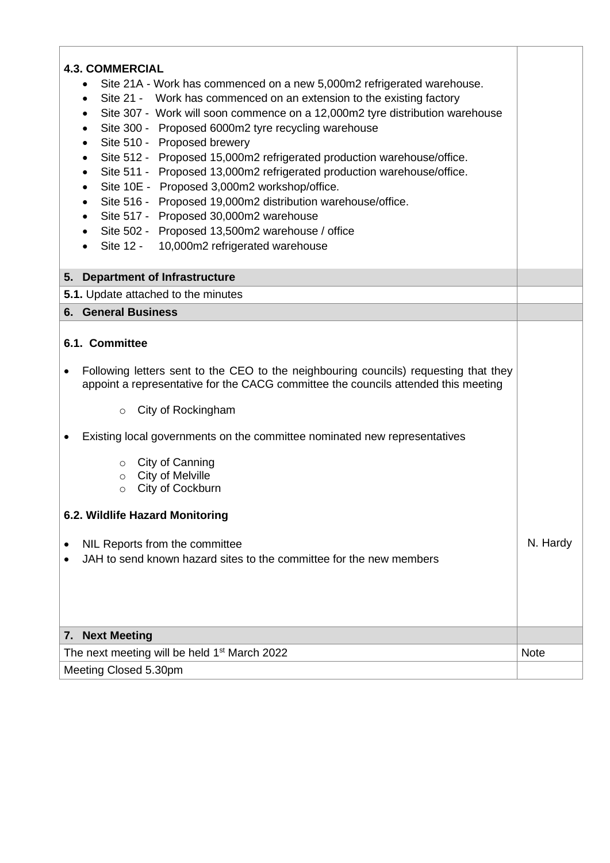| <b>4.3. COMMERCIAL</b><br>Site 21A - Work has commenced on a new 5,000m2 refrigerated warehouse.<br>$\bullet$<br>Site 21 - Work has commenced on an extension to the existing factory<br>$\bullet$<br>Site 307 - Work will soon commence on a 12,000m2 tyre distribution warehouse<br>Site 300 - Proposed 6000m2 tyre recycling warehouse<br>$\bullet$<br>Site 510 - Proposed brewery<br>٠<br>Site 512 - Proposed 15,000m2 refrigerated production warehouse/office.<br>$\bullet$<br>Site 511 - Proposed 13,000m2 refrigerated production warehouse/office.<br>$\bullet$<br>Site 10E - Proposed 3,000m2 workshop/office.<br>$\bullet$<br>Site 516 - Proposed 19,000m2 distribution warehouse/office.<br>$\bullet$<br>Site 517 - Proposed 30,000m2 warehouse<br>Site 502 - Proposed 13,500m2 warehouse / office<br>$\bullet$<br>Site 12 - 10,000m2 refrigerated warehouse |  |  |  |
|--------------------------------------------------------------------------------------------------------------------------------------------------------------------------------------------------------------------------------------------------------------------------------------------------------------------------------------------------------------------------------------------------------------------------------------------------------------------------------------------------------------------------------------------------------------------------------------------------------------------------------------------------------------------------------------------------------------------------------------------------------------------------------------------------------------------------------------------------------------------------|--|--|--|
| 5. Department of Infrastructure                                                                                                                                                                                                                                                                                                                                                                                                                                                                                                                                                                                                                                                                                                                                                                                                                                          |  |  |  |
| 5.1. Update attached to the minutes                                                                                                                                                                                                                                                                                                                                                                                                                                                                                                                                                                                                                                                                                                                                                                                                                                      |  |  |  |
| <b>6. General Business</b>                                                                                                                                                                                                                                                                                                                                                                                                                                                                                                                                                                                                                                                                                                                                                                                                                                               |  |  |  |
| 6.1. Committee<br>Following letters sent to the CEO to the neighbouring councils) requesting that they<br>$\bullet$<br>appoint a representative for the CACG committee the councils attended this meeting<br>City of Rockingham<br>$\circ$<br>Existing local governments on the committee nominated new representatives                                                                                                                                                                                                                                                                                                                                                                                                                                                                                                                                                  |  |  |  |
| City of Canning<br>$\circ$<br>o City of Melville<br>City of Cockburn<br>$\circ$                                                                                                                                                                                                                                                                                                                                                                                                                                                                                                                                                                                                                                                                                                                                                                                          |  |  |  |
| 6.2. Wildlife Hazard Monitoring                                                                                                                                                                                                                                                                                                                                                                                                                                                                                                                                                                                                                                                                                                                                                                                                                                          |  |  |  |
| NIL Reports from the committee<br>$\bullet$<br>JAH to send known hazard sites to the committee for the new members                                                                                                                                                                                                                                                                                                                                                                                                                                                                                                                                                                                                                                                                                                                                                       |  |  |  |
| 7. Next Meeting                                                                                                                                                                                                                                                                                                                                                                                                                                                                                                                                                                                                                                                                                                                                                                                                                                                          |  |  |  |
| The next meeting will be held 1 <sup>st</sup> March 2022                                                                                                                                                                                                                                                                                                                                                                                                                                                                                                                                                                                                                                                                                                                                                                                                                 |  |  |  |
| Meeting Closed 5.30pm                                                                                                                                                                                                                                                                                                                                                                                                                                                                                                                                                                                                                                                                                                                                                                                                                                                    |  |  |  |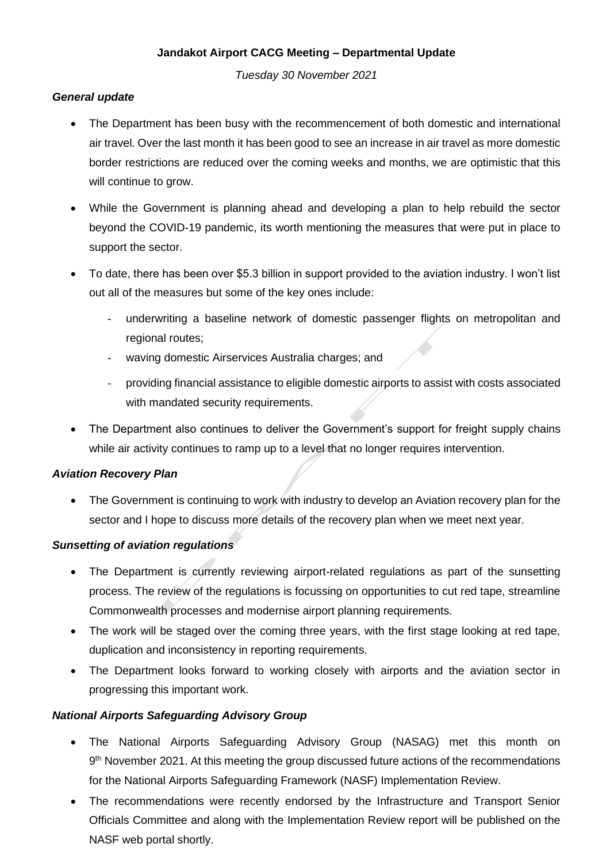### **Jandakot Airport CACG Meeting – Departmental Update**

*Tuesday 30 November 2021*

### *General update*

- The Department has been busy with the recommencement of both domestic and international air travel. Over the last month it has been good to see an increase in air travel as more domestic border restrictions are reduced over the coming weeks and months, we are optimistic that this will continue to grow.
- While the Government is planning ahead and developing a plan to help rebuild the sector beyond the COVID-19 pandemic, its worth mentioning the measures that were put in place to support the sector.
- To date, there has been over \$5.3 billion in support provided to the aviation industry. I won't list out all of the measures but some of the key ones include:
	- underwriting a baseline network of domestic passenger flights on metropolitan and regional routes;
	- waving domestic Airservices Australia charges; and
	- providing financial assistance to eligible domestic airports to assist with costs associated with mandated security requirements.
- The Department also continues to deliver the Government's support for freight supply chains while air activity continues to ramp up to a level that no longer requires intervention.

#### *Aviation Recovery Plan*

• The Government is continuing to work with industry to develop an Aviation recovery plan for the sector and I hope to discuss more details of the recovery plan when we meet next year.

### *Sunsetting of aviation regulations*

- The Department is currently reviewing airport-related regulations as part of the sunsetting process. The review of the regulations is focussing on opportunities to cut red tape, streamline Commonwealth processes and modernise airport planning requirements.
- The work will be staged over the coming three years, with the first stage looking at red tape, duplication and inconsistency in reporting requirements.
- The Department looks forward to working closely with airports and the aviation sector in progressing this important work.

### *National Airports Safeguarding Advisory Group*

- The National Airports Safeguarding Advisory Group (NASAG) met this month on 9<sup>th</sup> November 2021. At this meeting the group discussed future actions of the recommendations for the National Airports Safeguarding Framework (NASF) Implementation Review.
- The recommendations were recently endorsed by the Infrastructure and Transport Senior Officials Committee and along with the Implementation Review report will be published on the NASF web portal shortly.